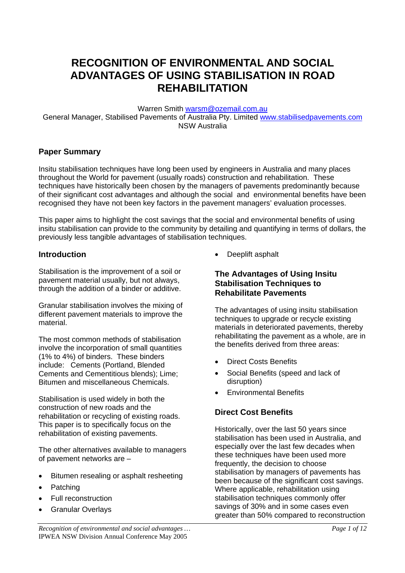# **RECOGNITION OF ENVIRONMENTAL AND SOCIAL ADVANTAGES OF USING STABILISATION IN ROAD REHABILITATION**

Warren Smith [warsm@ozemail.com.au](mailto:warsm@ozemail.com.au)

General Manager, Stabilised Pavements of Australia Pty. Limited [www.stabilisedpavements.com](http://www.stabilisedpavements.com/) NSW Australia

### **Paper Summary**

Insitu stabilisation techniques have long been used by engineers in Australia and many places throughout the World for pavement (usually roads) construction and rehabilitation. These techniques have historically been chosen by the managers of pavements predominantly because of their significant cost advantages and although the social and environmental benefits have been recognised they have not been key factors in the pavement managers' evaluation processes.

This paper aims to highlight the cost savings that the social and environmental benefits of using insitu stabilisation can provide to the community by detailing and quantifying in terms of dollars, the previously less tangible advantages of stabilisation techniques.

#### **Introduction**

Stabilisation is the improvement of a soil or pavement material usually, but not always, through the addition of a binder or additive.

Granular stabilisation involves the mixing of different pavement materials to improve the material.

The most common methods of stabilisation involve the incorporation of small quantities (1% to 4%) of binders. These binders include: Cements (Portland, Blended Cements and Cementitious blends); Lime; Bitumen and miscellaneous Chemicals.

Stabilisation is used widely in both the construction of new roads and the rehabilitation or recycling of existing roads. This paper is to specifically focus on the rehabilitation of existing pavements.

The other alternatives available to managers of pavement networks are –

- Bitumen resealing or asphalt resheeting
- Patching
- Full reconstruction
- **Granular Overlays**

• Deeplift asphalt

### **The Advantages of Using Insitu Stabilisation Techniques to Rehabilitate Pavements**

The advantages of using insitu stabilisation techniques to upgrade or recycle existing materials in deteriorated pavements, thereby rehabilitating the pavement as a whole, are in the benefits derived from three areas:

- Direct Costs Benefits
- Social Benefits (speed and lack of disruption)
- Environmental Benefits

## **Direct Cost Benefits**

Historically, over the last 50 years since stabilisation has been used in Australia, and especially over the last few decades when these techniques have been used more frequently, the decision to choose stabilisation by managers of pavements has been because of the significant cost savings. Where applicable, rehabilitation using stabilisation techniques commonly offer savings of 30% and in some cases even greater than 50% compared to reconstruction

*Recognition of environmental and social advantages … Page 1 of 12*  IPWEA NSW Division Annual Conference May 2005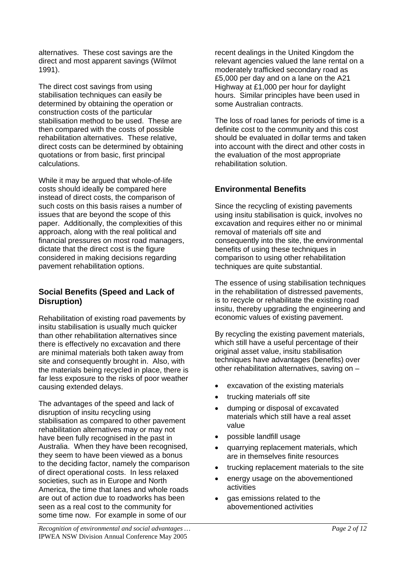alternatives. These cost savings are the direct and most apparent savings (Wilmot 1991).

The direct cost savings from using stabilisation techniques can easily be determined by obtaining the operation or construction costs of the particular stabilisation method to be used. These are then compared with the costs of possible rehabilitation alternatives. These relative, direct costs can be determined by obtaining quotations or from basic, first principal calculations.

While it may be argued that whole-of-life costs should ideally be compared here instead of direct costs, the comparison of such costs on this basis raises a number of issues that are beyond the scope of this paper. Additionally, the complexities of this approach, along with the real political and financial pressures on most road managers, dictate that the direct cost is the figure considered in making decisions regarding pavement rehabilitation options.

## **Social Benefits (Speed and Lack of Disruption)**

Rehabilitation of existing road pavements by insitu stabilisation is usually much quicker than other rehabilitation alternatives since there is effectively no excavation and there are minimal materials both taken away from site and consequently brought in. Also, with the materials being recycled in place, there is far less exposure to the risks of poor weather causing extended delays.

The advantages of the speed and lack of disruption of insitu recycling using stabilisation as compared to other pavement rehabilitation alternatives may or may not have been fully recognised in the past in Australia. When they have been recognised, they seem to have been viewed as a bonus to the deciding factor, namely the comparison of direct operational costs. In less relaxed societies, such as in Europe and North America, the time that lanes and whole roads are out of action due to roadworks has been seen as a real cost to the community for some time now. For example in some of our

recent dealings in the United Kingdom the relevant agencies valued the lane rental on a moderately trafficked secondary road as £5,000 per day and on a lane on the A21 Highway at £1,000 per hour for daylight hours. Similar principles have been used in some Australian contracts.

The loss of road lanes for periods of time is a definite cost to the community and this cost should be evaluated in dollar terms and taken into account with the direct and other costs in the evaluation of the most appropriate rehabilitation solution.

# **Environmental Benefits**

Since the recycling of existing pavements using insitu stabilisation is quick, involves no excavation and requires either no or minimal removal of materials off site and consequently into the site, the environmental benefits of using these techniques in comparison to using other rehabilitation techniques are quite substantial.

The essence of using stabilisation techniques in the rehabilitation of distressed pavements, is to recycle or rehabilitate the existing road insitu, thereby upgrading the engineering and economic values of existing pavement.

By recycling the existing pavement materials, which still have a useful percentage of their original asset value, insitu stabilisation techniques have advantages (benefits) over other rehabilitation alternatives, saving on –

- excavation of the existing materials
- trucking materials off site
- dumping or disposal of excavated materials which still have a real asset value
- possible landfill usage
- quarrying replacement materials, which are in themselves finite resources
- trucking replacement materials to the site
- energy usage on the abovementioned activities
- gas emissions related to the abovementioned activities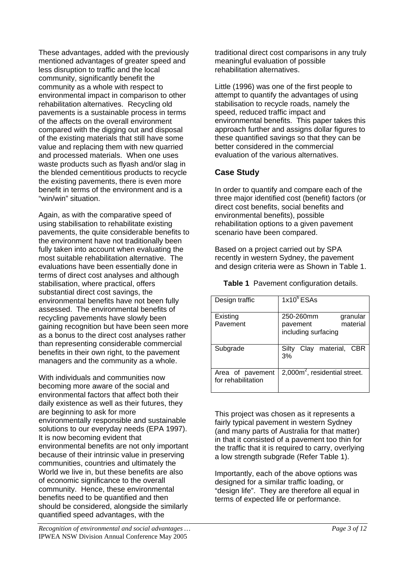These advantages, added with the previously mentioned advantages of greater speed and less disruption to traffic and the local community, significantly benefit the community as a whole with respect to environmental impact in comparison to other rehabilitation alternatives. Recycling old pavements is a sustainable process in terms of the affects on the overall environment compared with the digging out and disposal of the existing materials that still have some value and replacing them with new quarried and processed materials. When one uses waste products such as flyash and/or slag in the blended cementitious products to recycle the existing pavements, there is even more benefit in terms of the environment and is a "win/win" situation.

Again, as with the comparative speed of using stabilisation to rehabilitate existing pavements, the quite considerable benefits to the environment have not traditionally been fully taken into account when evaluating the most suitable rehabilitation alternative. The evaluations have been essentially done in terms of direct cost analyses and although stabilisation, where practical, offers substantial direct cost savings, the environmental benefits have not been fully assessed. The environmental benefits of recycling pavements have slowly been gaining recognition but have been seen more as a bonus to the direct cost analyses rather than representing considerable commercial benefits in their own right, to the pavement managers and the community as a whole.

With individuals and communities now becoming more aware of the social and environmental factors that affect both their daily existence as well as their futures, they are beginning to ask for more environmentally responsible and sustainable solutions to our everyday needs (EPA 1997). It is now becoming evident that environmental benefits are not only important because of their intrinsic value in preserving communities, countries and ultimately the World we live in, but these benefits are also of economic significance to the overall community. Hence, these environmental benefits need to be quantified and then should be considered, alongside the similarly quantified speed advantages, with the

traditional direct cost comparisons in any truly meaningful evaluation of possible rehabilitation alternatives.

Little (1996) was one of the first people to attempt to quantify the advantages of using stabilisation to recycle roads, namely the speed, reduced traffic impact and environmental benefits. This paper takes this approach further and assigns dollar figures to these quantified savings so that they can be better considered in the commercial evaluation of the various alternatives.

# **Case Study**

In order to quantify and compare each of the three major identified cost (benefit) factors (or direct cost benefits, social benefits and environmental benefits), possible rehabilitation options to a given pavement scenario have been compared.

Based on a project carried out by SPA recently in western Sydney, the pavement and design criteria were as Shown in Table 1.

**Table 1** Pavement configuration details.

| Design traffic                         | $1x10^6$ ESAs                                                        |
|----------------------------------------|----------------------------------------------------------------------|
| Existing<br>Pavement                   | 250-260mm<br>granular<br>material<br>pavement<br>including surfacing |
| Subgrade                               | material, CBR<br>Silty<br>Clay<br>3%                                 |
| Area of pavement<br>for rehabilitation | $2,000m^2$ , residential street.                                     |

This project was chosen as it represents a fairly typical pavement in western Sydney (and many parts of Australia for that matter) in that it consisted of a pavement too thin for the traffic that it is required to carry, overlying a low strength subgrade (Refer Table 1).

Importantly, each of the above options was designed for a similar traffic loading, or "design life". They are therefore all equal in terms of expected life or performance.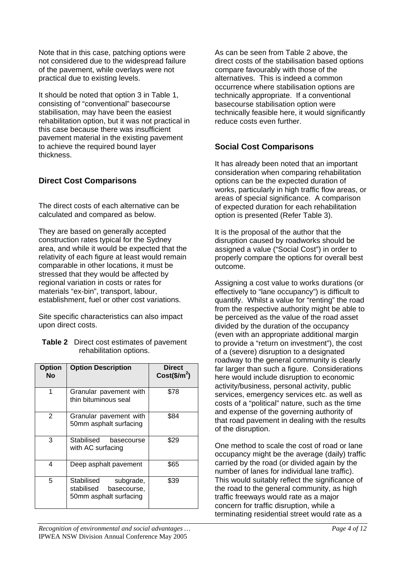Note that in this case, patching options were not considered due to the widespread failure of the pavement, while overlays were not practical due to existing levels.

It should be noted that option 3 in Table 1, consisting of "conventional" basecourse stabilisation, may have been the easiest rehabilitation option, but it was not practical in this case because there was insufficient pavement material in the existing pavement to achieve the required bound layer thickness.

# **Direct Cost Comparisons**

The direct costs of each alternative can be calculated and compared as below.

They are based on generally accepted construction rates typical for the Sydney area, and while it would be expected that the relativity of each figure at least would remain comparable in other locations, it must be stressed that they would be affected by regional variation in costs or rates for materials "ex-bin", transport, labour, establishment, fuel or other cost variations.

Site specific characteristics can also impact upon direct costs.

**Table 2** Direct cost estimates of pavement rehabilitation options.

| <b>Option</b><br>No | <b>Option Description</b>                                                      | <b>Direct</b><br>$Cost($/m^2)$ |
|---------------------|--------------------------------------------------------------------------------|--------------------------------|
| 1                   | Granular pavement with<br>thin bituminous seal                                 | \$78                           |
| 2                   | Granular pavement with<br>50mm asphalt surfacing                               | \$84                           |
| 3                   | Stabilised<br>basecourse<br>with AC surfacing                                  | \$29                           |
| 4                   | Deep asphalt pavement                                                          | \$65                           |
| 5                   | Stabilised<br>subgrade,<br>stabilised<br>basecourse,<br>50mm asphalt surfacing | \$39                           |

As can be seen from Table 2 above, the direct costs of the stabilisation based options compare favourably with those of the alternatives. This is indeed a common occurrence where stabilisation options are technically appropriate. If a conventional basecourse stabilisation option were technically feasible here, it would significantly reduce costs even further.

## **Social Cost Comparisons**

It has already been noted that an important consideration when comparing rehabilitation options can be the expected duration of works, particularly in high traffic flow areas, or areas of special significance. A comparison of expected duration for each rehabilitation option is presented (Refer Table 3).

It is the proposal of the author that the disruption caused by roadworks should be assigned a value ("Social Cost") in order to properly compare the options for overall best outcome.

Assigning a cost value to works durations (or effectively to "lane occupancy") is difficult to quantify. Whilst a value for "renting" the road from the respective authority might be able to be perceived as the value of the road asset divided by the duration of the occupancy (even with an appropriate additional margin to provide a "return on investment"), the cost of a (severe) disruption to a designated roadway to the general community is clearly far larger than such a figure. Considerations here would include disruption to economic activity/business, personal activity, public services, emergency services etc. as well as costs of a "political" nature, such as the time and expense of the governing authority of that road pavement in dealing with the results of the disruption.

One method to scale the cost of road or lane occupancy might be the average (daily) traffic carried by the road (or divided again by the number of lanes for individual lane traffic). This would suitably reflect the significance of the road to the general community, as high traffic freeways would rate as a major concern for traffic disruption, while a terminating residential street would rate as a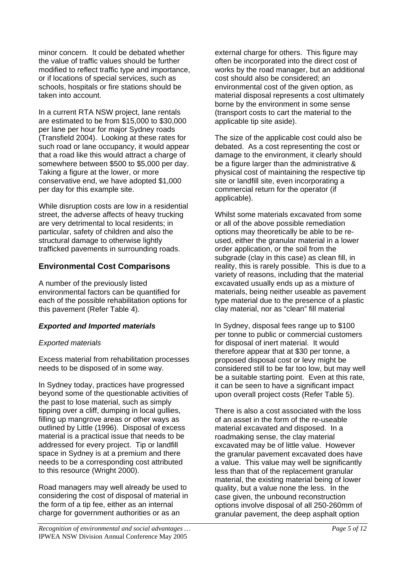minor concern. It could be debated whether the value of traffic values should be further modified to reflect traffic type and importance, or if locations of special services, such as schools, hospitals or fire stations should be taken into account.

In a current RTA NSW project, lane rentals are estimated to be from \$15,000 to \$30,000 per lane per hour for major Sydney roads (Transfield 2004). Looking at these rates for such road or lane occupancy, it would appear that a road like this would attract a charge of somewhere between \$500 to \$5,000 per day. Taking a figure at the lower, or more conservative end, we have adopted \$1,000 per day for this example site.

While disruption costs are low in a residential street, the adverse affects of heavy trucking are very detrimental to local residents; in particular, safety of children and also the structural damage to otherwise lightly trafficked pavements in surrounding roads.

### **Environmental Cost Comparisons**

A number of the previously listed environmental factors can be quantified for each of the possible rehabilitation options for this pavement (Refer Table 4).

#### *Exported and Imported materials*

#### *Exported materials*

Excess material from rehabilitation processes needs to be disposed of in some way.

In Sydney today, practices have progressed beyond some of the questionable activities of the past to lose material, such as simply tipping over a cliff, dumping in local gullies, filling up mangrove areas or other ways as outlined by Little (1996). Disposal of excess material is a practical issue that needs to be addressed for every project. Tip or landfill space in Sydney is at a premium and there needs to be a corresponding cost attributed to this resource (Wright 2000).

Road managers may well already be used to considering the cost of disposal of material in the form of a tip fee, either as an internal charge for government authorities or as an

external charge for others. This figure may often be incorporated into the direct cost of works by the road manager, but an additional cost should also be considered; an environmental cost of the given option, as material disposal represents a cost ultimately borne by the environment in some sense (transport costs to cart the material to the applicable tip site aside).

The size of the applicable cost could also be debated. As a cost representing the cost or damage to the environment, it clearly should be a figure larger than the administrative & physical cost of maintaining the respective tip site or landfill site, even incorporating a commercial return for the operator (if applicable).

Whilst some materials excavated from some or all of the above possible remediation options may theoretically be able to be reused, either the granular material in a lower order application, or the soil from the subgrade (clay in this case) as clean fill, in reality, this is rarely possible. This is due to a variety of reasons, including that the material excavated usually ends up as a mixture of materials, being neither useable as pavement type material due to the presence of a plastic clay material, nor as "clean" fill material

In Sydney, disposal fees range up to \$100 per tonne to public or commercial customers for disposal of inert material. It would therefore appear that at \$30 per tonne, a proposed disposal cost or levy might be considered still to be far too low, but may well be a suitable starting point. Even at this rate, it can be seen to have a significant impact upon overall project costs (Refer Table 5).

There is also a cost associated with the loss of an asset in the form of the re-useable material excavated and disposed. In a roadmaking sense, the clay material excavated may be of little value. However the granular pavement excavated does have a value. This value may well be significantly less than that of the replacement granular material, the existing material being of lower quality, but a value none the less. In the case given, the unbound reconstruction options involve disposal of all 250-260mm of granular pavement, the deep asphalt option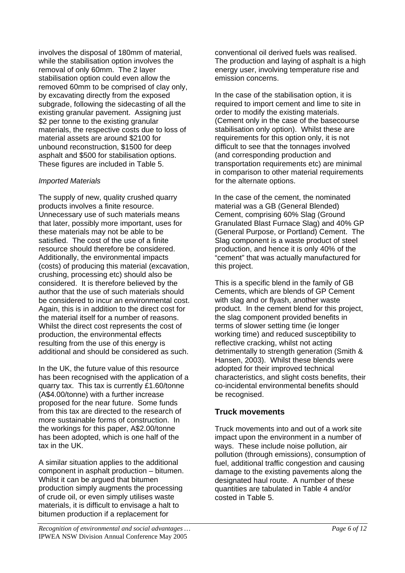involves the disposal of 180mm of material, while the stabilisation option involves the removal of only 60mm. The 2 layer stabilisation option could even allow the removed 60mm to be comprised of clay only, by excavating directly from the exposed subgrade, following the sidecasting of all the existing granular pavement. Assigning just \$2 per tonne to the existing granular materials, the respective costs due to loss of material assets are around \$2100 for unbound reconstruction, \$1500 for deep asphalt and \$500 for stabilisation options. These figures are included in Table 5.

#### *Imported Materials*

The supply of new, quality crushed quarry products involves a finite resource. Unnecessary use of such materials means that later, possibly more important, uses for these materials may not be able to be satisfied. The cost of the use of a finite resource should therefore be considered. Additionally, the environmental impacts (costs) of producing this material (excavation, crushing, processing etc) should also be considered. It is therefore believed by the author that the use of such materials should be considered to incur an environmental cost. Again, this is in addition to the direct cost for the material itself for a number of reasons. Whilst the direct cost represents the cost of production, the environmental effects resulting from the use of this energy is additional and should be considered as such.

In the UK, the future value of this resource has been recognised with the application of a quarry tax. This tax is currently £1.60/tonne (A\$4.00/tonne) with a further increase proposed for the near future. Some funds from this tax are directed to the research of more sustainable forms of construction. In the workings for this paper, A\$2.00/tonne has been adopted, which is one half of the tax in the UK.

A similar situation applies to the additional component in asphalt production – bitumen. Whilst it can be argued that bitumen production simply augments the processing of crude oil, or even simply utilises waste materials, it is difficult to envisage a halt to bitumen production if a replacement for

conventional oil derived fuels was realised. The production and laying of asphalt is a high energy user, involving temperature rise and emission concerns.

In the case of the stabilisation option, it is required to import cement and lime to site in order to modify the existing materials. (Cement only in the case of the basecourse stabilisation only option). Whilst these are requirements for this option only, it is not difficult to see that the tonnages involved (and corresponding production and transportation requirements etc) are minimal in comparison to other material requirements for the alternate options.

In the case of the cement, the nominated material was a GB (General Blended) Cement, comprising 60% Slag (Ground Granulated Blast Furnace Slag) and 40% GP (General Purpose, or Portland) Cement. The Slag component is a waste product of steel production, and hence it is only 40% of the "cement" that was actually manufactured for this project.

This is a specific blend in the family of GB Cements, which are blends of GP Cement with slag and or flyash, another waste product. In the cement blend for this project, the slag component provided benefits in terms of slower setting time (ie longer working time) and reduced susceptibility to reflective cracking, whilst not acting detrimentally to strength generation (Smith & Hansen, 2003). Whilst these blends were adopted for their improved technical characteristics, and slight costs benefits, their co-incidental environmental benefits should be recognised.

#### **Truck movements**

Truck movements into and out of a work site impact upon the environment in a number of ways. These include noise pollution, air pollution (through emissions), consumption of fuel, additional traffic congestion and causing damage to the existing pavements along the designated haul route. A number of these quantities are tabulated in Table 4 and/or costed in Table 5.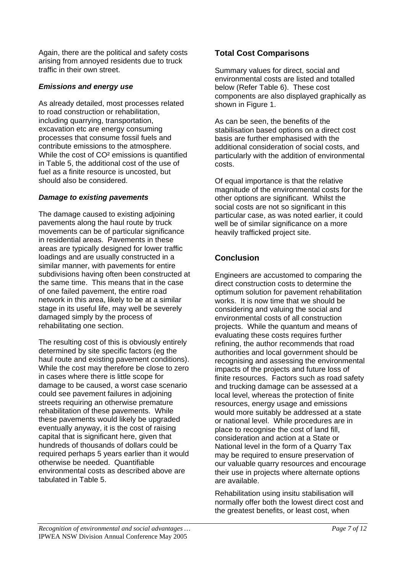Again, there are the political and safety costs arising from annoyed residents due to truck traffic in their own street.

#### *Emissions and energy use*

As already detailed, most processes related to road construction or rehabilitation, including quarrying, transportation, excavation etc are energy consuming processes that consume fossil fuels and contribute emissions to the atmosphere. While the cost of CO² emissions is quantified in Table 5, the additional cost of the use of fuel as a finite resource is uncosted, but should also be considered.

#### *Damage to existing pavements*

The damage caused to existing adjoining pavements along the haul route by truck movements can be of particular significance in residential areas. Pavements in these areas are typically designed for lower traffic loadings and are usually constructed in a similar manner, with pavements for entire subdivisions having often been constructed at the same time. This means that in the case of one failed pavement, the entire road network in this area, likely to be at a similar stage in its useful life, may well be severely damaged simply by the process of rehabilitating one section.

The resulting cost of this is obviously entirely determined by site specific factors (eg the haul route and existing pavement conditions). While the cost may therefore be close to zero in cases where there is little scope for damage to be caused, a worst case scenario could see pavement failures in adjoining streets requiring an otherwise premature rehabilitation of these pavements. While these pavements would likely be upgraded eventually anyway, it is the cost of raising capital that is significant here, given that hundreds of thousands of dollars could be required perhaps 5 years earlier than it would otherwise be needed. Quantifiable environmental costs as described above are tabulated in Table 5.

# **Total Cost Comparisons**

Summary values for direct, social and environmental costs are listed and totalled below (Refer Table 6). These cost components are also displayed graphically as shown in Figure 1.

As can be seen, the benefits of the stabilisation based options on a direct cost basis are further emphasised with the additional consideration of social costs, and particularly with the addition of environmental costs.

Of equal importance is that the relative magnitude of the environmental costs for the other options are significant. Whilst the social costs are not so significant in this particular case, as was noted earlier, it could well be of similar significance on a more heavily trafficked project site.

# **Conclusion**

Engineers are accustomed to comparing the direct construction costs to determine the optimum solution for pavement rehabilitation works. It is now time that we should be considering and valuing the social and environmental costs of all construction projects. While the quantum and means of evaluating these costs requires further refining, the author recommends that road authorities and local government should be recognising and assessing the environmental impacts of the projects and future loss of finite resources. Factors such as road safety and trucking damage can be assessed at a local level, whereas the protection of finite resources, energy usage and emissions would more suitably be addressed at a state or national level. While procedures are in place to recognise the cost of land fill, consideration and action at a State or National level in the form of a Quarry Tax may be required to ensure preservation of our valuable quarry resources and encourage their use in projects where alternate options are available.

Rehabilitation using insitu stabilisation will normally offer both the lowest direct cost and the greatest benefits, or least cost, when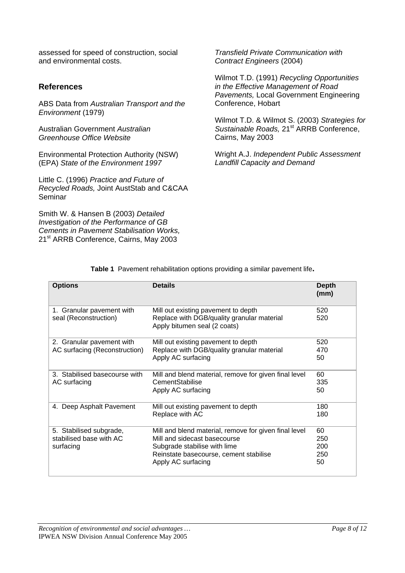assessed for speed of construction, social and environmental costs.

### **References**

ABS Data from *Australian Transport and the Environment* (1979)

Australian Government *Australian Greenhouse Office Website*

Environmental Protection Authority (NSW) (EPA) *State of the Environment 1997* 

Little C. (1996) *Practice and Future of Recycled Roads,* Joint AustStab and C&CAA Seminar

Smith W. & Hansen B (2003) *Detailed Investigation of the Performance of GB Cements in Pavement Stabilisation Works,*  21<sup>st</sup> ARRB Conference, Cairns, May 2003

*Transfield Private Communication with Contract Engineers* (2004)

Wilmot T.D. (1991) *Recycling Opportunities in the Effective Management of Road Pavements,* Local Government Engineering Conference, Hobart

Wilmot T.D. & Wilmot S. (2003) *Strategies for Sustainable Roads,* 21st ARRB Conference, Cairns, May 2003

Wright A.J. *Independent Public Assessment Landfill Capacity and Demand* 

| <b>Options</b>                                     | <b>Details</b>                                                                    | <b>Depth</b><br>(mm) |
|----------------------------------------------------|-----------------------------------------------------------------------------------|----------------------|
| 1. Granular pavement with<br>seal (Reconstruction) | Mill out existing pavement to depth<br>Replace with DGB/quality granular material | 520<br>520           |
|                                                    | Apply bitumen seal (2 coats)                                                      |                      |
| 2. Granular pavement with                          | Mill out existing pavement to depth                                               | 520                  |
| AC surfacing (Reconstruction)                      | Replace with DGB/quality granular material                                        | 470                  |
|                                                    | Apply AC surfacing                                                                | 50                   |
| 3. Stabilised basecourse with                      | Mill and blend material, remove for given final level                             | 60                   |
| AC surfacing                                       | CementStabilise                                                                   | 335                  |
|                                                    | Apply AC surfacing                                                                | 50                   |
| 4. Deep Asphalt Pavement                           | Mill out existing pavement to depth                                               | 180                  |
|                                                    | Replace with AC                                                                   | 180                  |
| 5. Stabilised subgrade,                            | Mill and blend material, remove for given final level                             | 60                   |
| stabilised base with AC                            | Mill and sidecast basecourse                                                      | 250                  |
| surfacing                                          | Subgrade stabilise with lime                                                      | 200                  |
|                                                    | Reinstate basecourse, cement stabilise                                            | 250                  |
|                                                    | Apply AC surfacing                                                                | 50                   |

**Table 1** Pavement rehabilitation options providing a similar pavement life**.**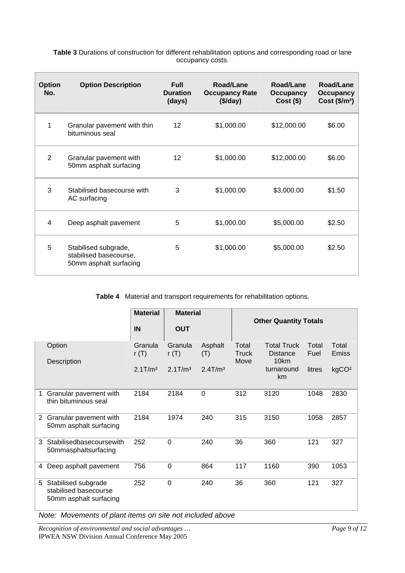| <b>Option</b><br>No. | <b>Option Description</b>                                                | <b>Full</b><br><b>Duration</b><br>(days) | Road/Lane<br><b>Occupancy Rate</b><br>(\$/day) | Road/Lane<br>Occupancy<br>$Cost($ \$) | Road/Lane<br>Occupancy<br>Cost (\$/m <sup>2</sup> ) |
|----------------------|--------------------------------------------------------------------------|------------------------------------------|------------------------------------------------|---------------------------------------|-----------------------------------------------------|
| 1                    | Granular pavement with thin<br>bituminous seal                           | $12 \overline{ }$                        | \$1,000.00                                     | \$12,000.00                           | \$6.00                                              |
| 2                    | Granular pavement with<br>50mm asphalt surfacing                         | 12                                       | \$1,000.00                                     | \$12,000.00                           | \$6.00                                              |
| 3                    | Stabilised basecourse with<br>AC surfacing                               | 3                                        | \$1,000.00                                     | \$3,000.00                            | \$1.50                                              |
| 4                    | Deep asphalt pavement                                                    | 5                                        | \$1,000.00                                     | \$5,000.00                            | \$2.50                                              |
| 5                    | Stabilised subgrade,<br>stabilised basecourse,<br>50mm asphalt surfacing | 5                                        | \$1,000.00                                     | \$5,000.00                            | \$2.50                                              |

**Table 3** Durations of construction for different rehabilitation options and corresponding road or lane occupancy costs.

**Table 4** Material and transport requirements for rehabilitation options.

|                |                                                                        | <b>Material</b>      | <b>Material</b>      |                        | <b>Other Quantity Totals</b> |                                       |               |                       |
|----------------|------------------------------------------------------------------------|----------------------|----------------------|------------------------|------------------------------|---------------------------------------|---------------|-----------------------|
|                |                                                                        | IN                   | <b>OUT</b>           |                        |                              |                                       |               |                       |
|                | Option                                                                 | Granula<br>r $(T)$   | Granula<br>r $(T)$   | Asphalt<br>(T)         | Total<br><b>Truck</b>        | <b>Total Truck</b><br><b>Distance</b> | Total<br>Fuel | Total<br><b>Emiss</b> |
|                | Description                                                            | 2.1 T/m <sup>3</sup> | 2.1 T/m <sup>3</sup> | $2.4$ T/m <sup>3</sup> | Move                         | 10km<br>turnaround<br>km              | litres        | kgCO <sup>2</sup>     |
| 1              | Granular pavement with<br>thin bituminous seal                         | 2184                 | 2184                 | $\overline{0}$         | 312                          | 3120                                  | 1048          | 2830                  |
| $\overline{2}$ | Granular pavement with<br>50mm asphalt surfacing                       | 2184                 | 1974                 | 240                    | 315                          | 3150                                  | 1058          | 2857                  |
| 3              | Stabilisedbasecoursewith<br>50mmasphaltsurfacing                       | 252                  | 0                    | 240                    | 36                           | 360                                   | 121           | 327                   |
| 4              | Deep asphalt pavement                                                  | 756                  | $\overline{0}$       | 864                    | 117                          | 1160                                  | 390           | 1053                  |
| 5              | Stabilised subgrade<br>stabilised basecourse<br>50mm asphalt surfacing | 252                  | $\overline{0}$       | 240                    | 36                           | 360                                   | 121           | 327                   |

*Note: Movements of plant items on site not included above* 

*Recognition of environmental and social advantages … Page 9 of 12*  IPWEA NSW Division Annual Conference May 2005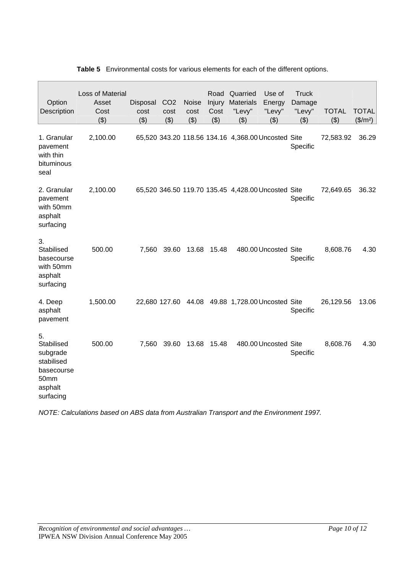| Option<br>Description                                                                    | Loss of Material<br>Asset<br>Cost<br>(3) | Disposal<br>cost<br>(3) | CO <sub>2</sub><br>cost<br>(3) | <b>Noise</b><br>cost<br>(3) | Road<br>Injury<br>Cost<br>(3) | Quarried<br><b>Materials</b><br>"Levy"<br>(3) | Use of<br>Energy<br>"Levy"<br>(3)                  | <b>Truck</b><br>Damage<br>"Levy"<br>(3) | <b>TOTAL</b><br>(3) | <b>TOTAL</b><br>$($/m^2)$ |
|------------------------------------------------------------------------------------------|------------------------------------------|-------------------------|--------------------------------|-----------------------------|-------------------------------|-----------------------------------------------|----------------------------------------------------|-----------------------------------------|---------------------|---------------------------|
| 1. Granular<br>pavement<br>with thin<br>bituminous<br>seal                               | 2,100.00                                 |                         |                                |                             |                               |                                               | 65,520 343.20 118.56 134.16 4,368.00 Uncosted Site | Specific                                | 72,583.92           | 36.29                     |
| 2. Granular<br>pavement<br>with 50mm<br>asphalt<br>surfacing                             | 2,100.00                                 |                         |                                |                             |                               |                                               | 65,520 346.50 119.70 135.45 4,428.00 Uncosted Site | Specific                                | 72,649.65           | 36.32                     |
| 3.<br>Stabilised<br>basecourse<br>with 50mm<br>asphalt<br>surfacing                      | 500.00                                   | 7,560                   | 39.60                          | 13.68                       | 15.48                         |                                               | 480.00 Uncosted Site                               | Specific                                | 8,608.76            | 4.30                      |
| 4. Deep<br>asphalt<br>pavement                                                           | 1,500.00                                 |                         |                                |                             |                               |                                               | 22,680 127.60 44.08 49.88 1,728.00 Uncosted Site   | Specific                                | 26,129.56           | 13.06                     |
| 5.<br>Stabilised<br>subgrade<br>stabilised<br>basecourse<br>50mm<br>asphalt<br>surfacing | 500.00                                   | 7,560                   | 39.60                          | 13.68                       | 15.48                         |                                               | 480.00 Uncosted Site                               | Specific                                | 8,608.76            | 4.30                      |

#### **Table 5** Environmental costs for various elements for each of the different options.

*NOTE: Calculations based on ABS data from Australian Transport and the Environment 1997.*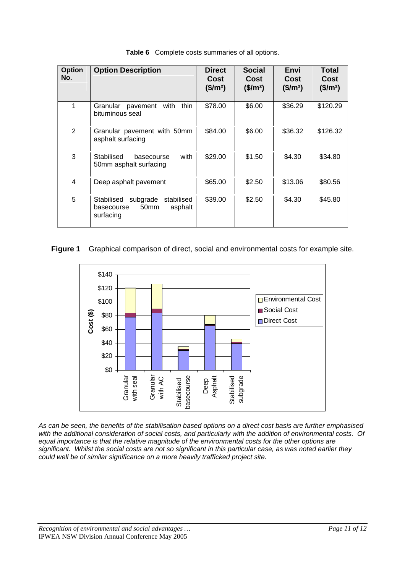| <b>Option</b><br>No. | <b>Option Description</b>                                                                      | <b>Direct</b><br>Cost<br>(\$/m <sup>2</sup> ) | <b>Social</b><br>Cost<br>(\$/m <sup>2</sup> ) | Envi<br>Cost<br>(\$/m <sup>2</sup> ) | <b>Total</b><br>Cost<br>(\$/m <sup>2</sup> ) |
|----------------------|------------------------------------------------------------------------------------------------|-----------------------------------------------|-----------------------------------------------|--------------------------------------|----------------------------------------------|
| 1                    | Granular pavement<br>with<br>thin<br>bituminous seal                                           | \$78.00                                       | \$6.00                                        | \$36.29                              | \$120.29                                     |
| $\overline{2}$       | Granular pavement with 50mm<br>asphalt surfacing                                               | \$84.00                                       | \$6.00                                        | \$36.32                              | \$126.32                                     |
| 3                    | Stabilised<br>with<br>basecourse<br>50mm asphalt surfacing                                     | \$29.00                                       | \$1.50                                        | \$4.30                               | \$34.80                                      |
| 4                    | Deep asphalt pavement                                                                          | \$65.00                                       | \$2.50                                        | \$13.06                              | \$80.56                                      |
| 5                    | subgrade<br>Stabilised<br>stabilised<br>50 <sub>mm</sub><br>asphalt<br>basecourse<br>surfacing | \$39.00                                       | \$2.50                                        | \$4.30                               | \$45.80                                      |

**Table 6** Complete costs summaries of all options.

#### **Figure 1** Graphical comparison of direct, social and environmental costs for example site.



*As can be seen, the benefits of the stabilisation based options on a direct cost basis are further emphasised with the additional consideration of social costs, and particularly with the addition of environmental costs. Of equal importance is that the relative magnitude of the environmental costs for the other options are significant. Whilst the social costs are not so significant in this particular case, as was noted earlier they could well be of similar significance on a more heavily trafficked project site.*